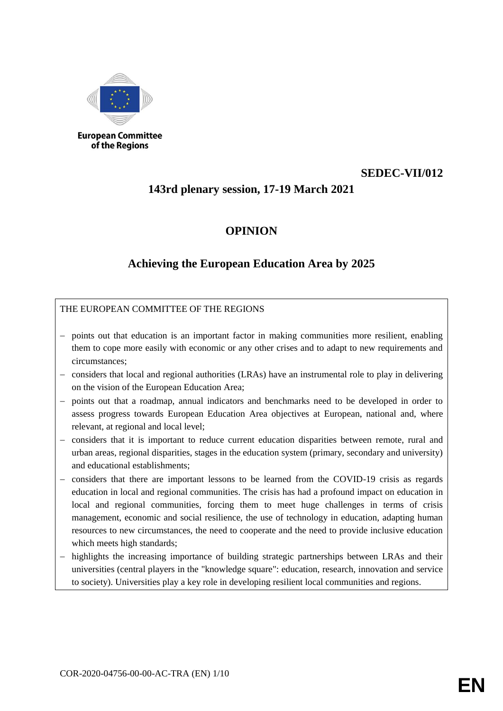

#### **European Committee** of the Regions

## **SEDEC-VII/012**

## **143rd plenary session, 17-19 March 2021**

## **OPINION**

# **Achieving the European Education Area by 2025**

THE EUROPEAN COMMITTEE OF THE REGIONS

- points out that education is an important factor in making communities more resilient, enabling them to cope more easily with economic or any other crises and to adapt to new requirements and circumstances;
- considers that local and regional authorities (LRAs) have an instrumental role to play in delivering on the vision of the European Education Area;
- points out that a roadmap, annual indicators and benchmarks need to be developed in order to assess progress towards European Education Area objectives at European, national and, where relevant, at regional and local level;
- considers that it is important to reduce current education disparities between remote, rural and urban areas, regional disparities, stages in the education system (primary, secondary and university) and educational establishments;
- considers that there are important lessons to be learned from the COVID-19 crisis as regards education in local and regional communities. The crisis has had a profound impact on education in local and regional communities, forcing them to meet huge challenges in terms of crisis management, economic and social resilience, the use of technology in education, adapting human resources to new circumstances, the need to cooperate and the need to provide inclusive education which meets high standards;
- highlights the increasing importance of building strategic partnerships between LRAs and their universities (central players in the "knowledge square": education, research, innovation and service to society). Universities play a key role in developing resilient local communities and regions.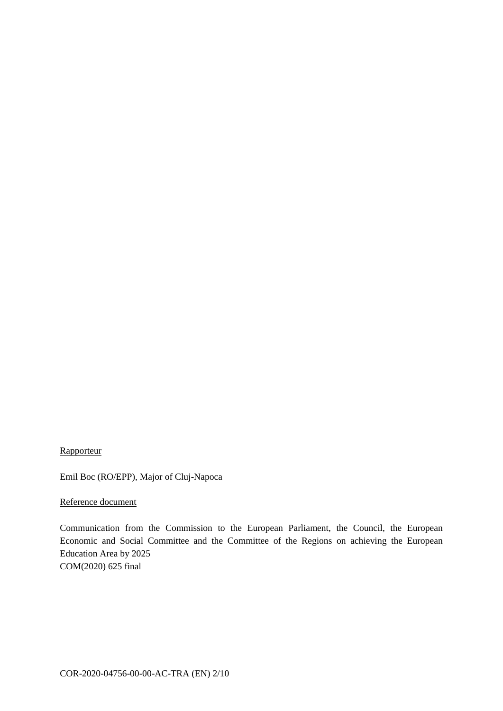### **Rapporteur**

Emil Boc (RO/EPP), Major of Cluj-Napoca

#### Reference document

Communication from the Commission to the European Parliament, the Council, the European Economic and Social Committee and the Committee of the Regions on achieving the European Education Area by 2025 COM(2020) 625 final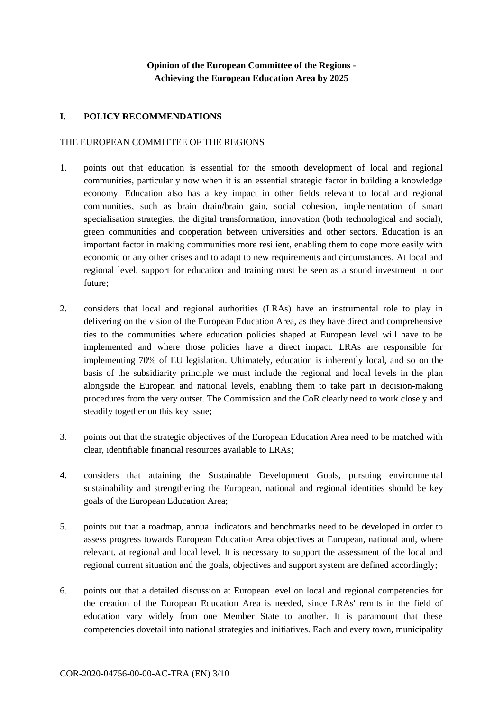### **Opinion of the European Committee of the Regions - Achieving the European Education Area by 2025**

### **I. POLICY RECOMMENDATIONS**

#### THE EUROPEAN COMMITTEE OF THE REGIONS

- 1. points out that education is essential for the smooth development of local and regional communities, particularly now when it is an essential strategic factor in building a knowledge economy. Education also has a key impact in other fields relevant to local and regional communities, such as brain drain/brain gain, social cohesion, implementation of smart specialisation strategies, the digital transformation, innovation (both technological and social), green communities and cooperation between universities and other sectors. Education is an important factor in making communities more resilient, enabling them to cope more easily with economic or any other crises and to adapt to new requirements and circumstances. At local and regional level, support for education and training must be seen as a sound investment in our future;
- 2. considers that local and regional authorities (LRAs) have an instrumental role to play in delivering on the vision of the European Education Area, as they have direct and comprehensive ties to the communities where education policies shaped at European level will have to be implemented and where those policies have a direct impact. LRAs are responsible for implementing 70% of EU legislation. Ultimately, education is inherently local, and so on the basis of the subsidiarity principle we must include the regional and local levels in the plan alongside the European and national levels, enabling them to take part in decision-making procedures from the very outset. The Commission and the CoR clearly need to work closely and steadily together on this key issue;
- 3. points out that the strategic objectives of the European Education Area need to be matched with clear, identifiable financial resources available to LRAs;
- 4. considers that attaining the Sustainable Development Goals, pursuing environmental sustainability and strengthening the European, national and regional identities should be key goals of the European Education Area;
- 5. points out that a roadmap, annual indicators and benchmarks need to be developed in order to assess progress towards European Education Area objectives at European, national and, where relevant, at regional and local level*.* It is necessary to support the assessment of the local and regional current situation and the goals, objectives and support system are defined accordingly;
- 6. points out that a detailed discussion at European level on local and regional competencies for the creation of the European Education Area is needed, since LRAs' remits in the field of education vary widely from one Member State to another. It is paramount that these competencies dovetail into national strategies and initiatives. Each and every town, municipality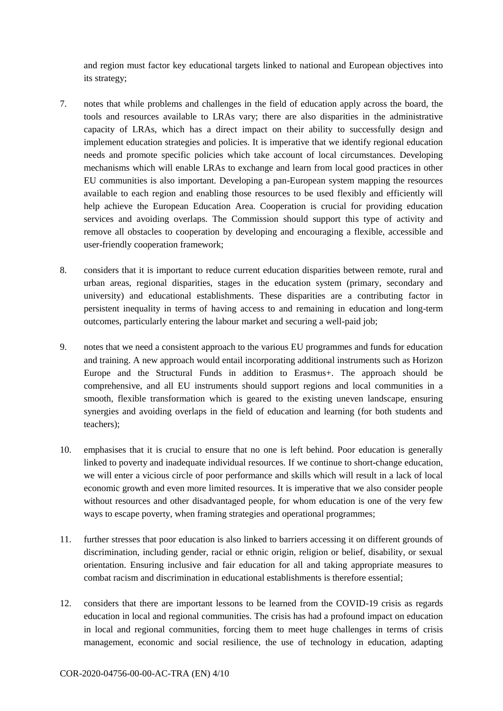and region must factor key educational targets linked to national and European objectives into its strategy;

- 7. notes that while problems and challenges in the field of education apply across the board, the tools and resources available to LRAs vary; there are also disparities in the administrative capacity of LRAs, which has a direct impact on their ability to successfully design and implement education strategies and policies. It is imperative that we identify regional education needs and promote specific policies which take account of local circumstances. Developing mechanisms which will enable LRAs to exchange and learn from local good practices in other EU communities is also important. Developing a pan-European system mapping the resources available to each region and enabling those resources to be used flexibly and efficiently will help achieve the European Education Area. Cooperation is crucial for providing education services and avoiding overlaps. The Commission should support this type of activity and remove all obstacles to cooperation by developing and encouraging a flexible, accessible and user-friendly cooperation framework;
- 8. considers that it is important to reduce current education disparities between remote, rural and urban areas, regional disparities, stages in the education system (primary, secondary and university) and educational establishments. These disparities are a contributing factor in persistent inequality in terms of having access to and remaining in education and long-term outcomes, particularly entering the labour market and securing a well-paid job;
- 9. notes that we need a consistent approach to the various EU programmes and funds for education and training. A new approach would entail incorporating additional instruments such as Horizon Europe and the Structural Funds in addition to Erasmus+. The approach should be comprehensive, and all EU instruments should support regions and local communities in a smooth, flexible transformation which is geared to the existing uneven landscape, ensuring synergies and avoiding overlaps in the field of education and learning (for both students and teachers);
- 10. emphasises that it is crucial to ensure that no one is left behind. Poor education is generally linked to poverty and inadequate individual resources. If we continue to short-change education, we will enter a vicious circle of poor performance and skills which will result in a lack of local economic growth and even more limited resources. It is imperative that we also consider people without resources and other disadvantaged people, for whom education is one of the very few ways to escape poverty, when framing strategies and operational programmes;
- 11. further stresses that poor education is also linked to barriers accessing it on different grounds of discrimination, including gender, racial or ethnic origin, religion or belief, disability, or sexual orientation. Ensuring inclusive and fair education for all and taking appropriate measures to combat racism and discrimination in educational establishments is therefore essential;
- 12. considers that there are important lessons to be learned from the COVID-19 crisis as regards education in local and regional communities. The crisis has had a profound impact on education in local and regional communities, forcing them to meet huge challenges in terms of crisis management, economic and social resilience, the use of technology in education, adapting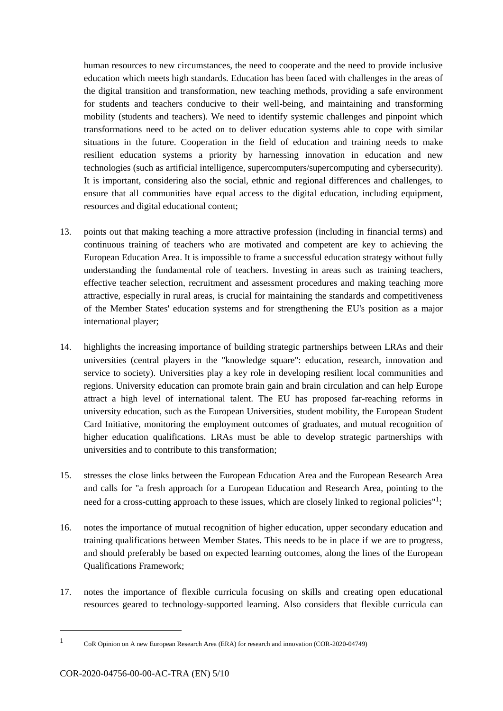human resources to new circumstances, the need to cooperate and the need to provide inclusive education which meets high standards. Education has been faced with challenges in the areas of the digital transition and transformation, new teaching methods, providing a safe environment for students and teachers conducive to their well-being, and maintaining and transforming mobility (students and teachers). We need to identify systemic challenges and pinpoint which transformations need to be acted on to deliver education systems able to cope with similar situations in the future. Cooperation in the field of education and training needs to make resilient education systems a priority by harnessing innovation in education and new technologies (such as artificial intelligence, supercomputers/supercomputing and cybersecurity). It is important, considering also the social, ethnic and regional differences and challenges, to ensure that all communities have equal access to the digital education, including equipment, resources and digital educational content;

- 13. points out that making teaching a more attractive profession (including in financial terms) and continuous training of teachers who are motivated and competent are key to achieving the European Education Area. It is impossible to frame a successful education strategy without fully understanding the fundamental role of teachers. Investing in areas such as training teachers, effective teacher selection, recruitment and assessment procedures and making teaching more attractive, especially in rural areas, is crucial for maintaining the standards and competitiveness of the Member States' education systems and for strengthening the EU's position as a major international player;
- 14. highlights the increasing importance of building strategic partnerships between LRAs and their universities (central players in the "knowledge square": education, research, innovation and service to society). Universities play a key role in developing resilient local communities and regions. University education can promote brain gain and brain circulation and can help Europe attract a high level of international talent. The EU has proposed far-reaching reforms in university education, such as the European Universities, student mobility, the European Student Card Initiative, monitoring the employment outcomes of graduates, and mutual recognition of higher education qualifications. LRAs must be able to develop strategic partnerships with universities and to contribute to this transformation;
- 15. stresses the close links between the European Education Area and the European Research Area and calls for "a fresh approach for a European Education and Research Area, pointing to the need for a cross-cutting approach to these issues, which are closely linked to regional policies"<sup>1</sup>;
- 16. notes the importance of mutual recognition of higher education, upper secondary education and training qualifications between Member States. This needs to be in place if we are to progress, and should preferably be based on expected learning outcomes, along the lines of the European Qualifications Framework;
- 17. notes the importance of flexible curricula focusing on skills and creating open educational resources geared to technology-supported learning. Also considers that flexible curricula can

-

<sup>1</sup> CoR Opinion on A new European Research Area (ERA) for research and innovation (COR-2020-04749)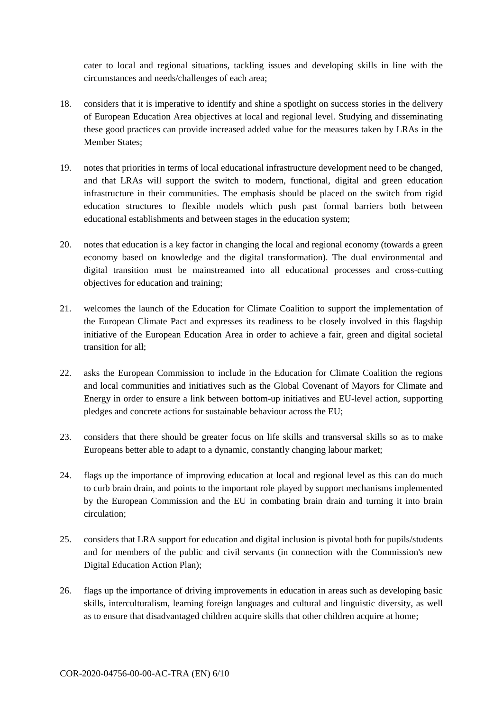cater to local and regional situations, tackling issues and developing skills in line with the circumstances and needs/challenges of each area;

- 18. considers that it is imperative to identify and shine a spotlight on success stories in the delivery of European Education Area objectives at local and regional level. Studying and disseminating these good practices can provide increased added value for the measures taken by LRAs in the Member States;
- 19. notes that priorities in terms of local educational infrastructure development need to be changed, and that LRAs will support the switch to modern, functional, digital and green education infrastructure in their communities. The emphasis should be placed on the switch from rigid education structures to flexible models which push past formal barriers both between educational establishments and between stages in the education system;
- 20. notes that education is a key factor in changing the local and regional economy (towards a green economy based on knowledge and the digital transformation). The dual environmental and digital transition must be mainstreamed into all educational processes and cross-cutting objectives for education and training;
- 21. welcomes the launch of the Education for Climate Coalition to support the implementation of the European Climate Pact and expresses its readiness to be closely involved in this flagship initiative of the European Education Area in order to achieve a fair, green and digital societal transition for all;
- 22. asks the European Commission to include in the Education for Climate Coalition the regions and local communities and initiatives such as the Global Covenant of Mayors for Climate and Energy in order to ensure a link between bottom-up initiatives and EU-level action, supporting pledges and concrete actions for sustainable behaviour across the EU;
- 23. considers that there should be greater focus on life skills and transversal skills so as to make Europeans better able to adapt to a dynamic, constantly changing labour market;
- 24. flags up the importance of improving education at local and regional level as this can do much to curb brain drain, and points to the important role played by support mechanisms implemented by the European Commission and the EU in combating brain drain and turning it into brain circulation;
- 25. considers that LRA support for education and digital inclusion is pivotal both for pupils/students and for members of the public and civil servants (in connection with the Commission's new Digital Education Action Plan);
- 26. flags up the importance of driving improvements in education in areas such as developing basic skills, interculturalism, learning foreign languages and cultural and linguistic diversity, as well as to ensure that disadvantaged children acquire skills that other children acquire at home;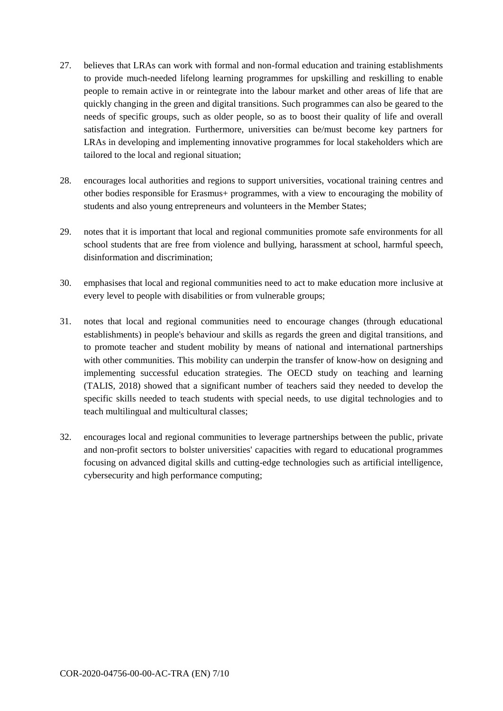- 27. believes that LRAs can work with formal and non-formal education and training establishments to provide much-needed lifelong learning programmes for upskilling and reskilling to enable people to remain active in or reintegrate into the labour market and other areas of life that are quickly changing in the green and digital transitions. Such programmes can also be geared to the needs of specific groups, such as older people, so as to boost their quality of life and overall satisfaction and integration. Furthermore, universities can be/must become key partners for LRAs in developing and implementing innovative programmes for local stakeholders which are tailored to the local and regional situation;
- 28. encourages local authorities and regions to support universities, vocational training centres and other bodies responsible for Erasmus+ programmes, with a view to encouraging the mobility of students and also young entrepreneurs and volunteers in the Member States;
- 29. notes that it is important that local and regional communities promote safe environments for all school students that are free from violence and bullying, harassment at school, harmful speech, disinformation and discrimination;
- 30. emphasises that local and regional communities need to act to make education more inclusive at every level to people with disabilities or from vulnerable groups;
- 31. notes that local and regional communities need to encourage changes (through educational establishments) in people's behaviour and skills as regards the green and digital transitions, and to promote teacher and student mobility by means of national and international partnerships with other communities. This mobility can underpin the transfer of know-how on designing and implementing successful education strategies. The OECD study on teaching and learning (TALIS, 2018) showed that a significant number of teachers said they needed to develop the specific skills needed to teach students with special needs, to use digital technologies and to teach multilingual and multicultural classes;
- 32. encourages local and regional communities to leverage partnerships between the public, private and non-profit sectors to bolster universities' capacities with regard to educational programmes focusing on advanced digital skills and cutting-edge technologies such as artificial intelligence, cybersecurity and high performance computing;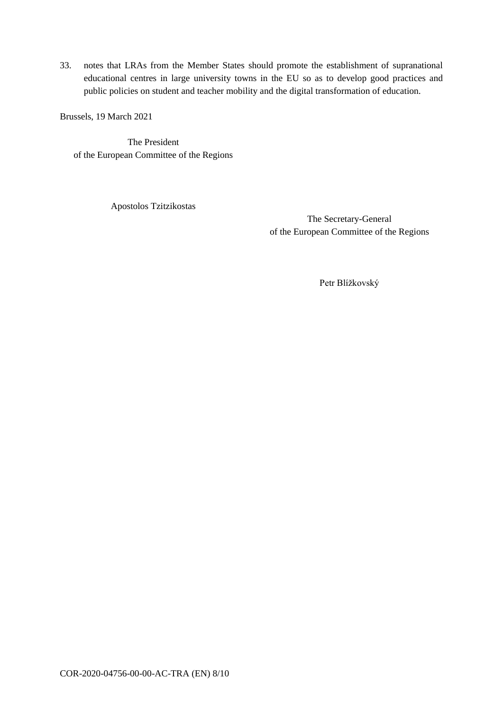33. notes that LRAs from the Member States should promote the establishment of supranational educational centres in large university towns in the EU so as to develop good practices and public policies on student and teacher mobility and the digital transformation of education.

Brussels, 19 March 2021

The President of the European Committee of the Regions

Apostolos Tzitzikostas

The Secretary-General of the European Committee of the Regions

Petr Blížkovský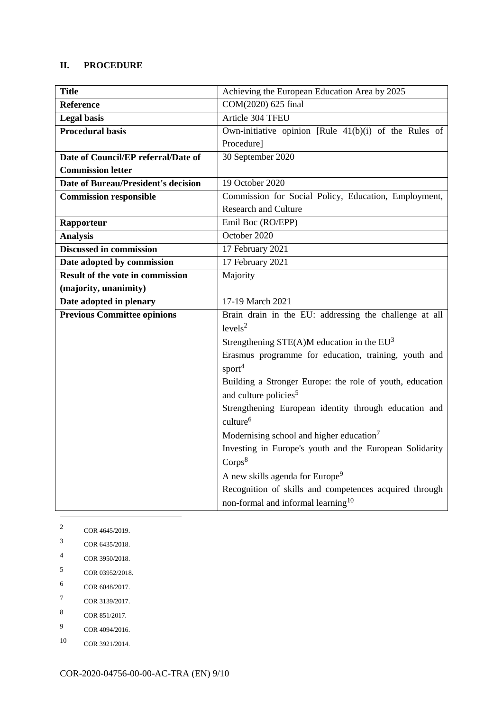#### **II. PROCEDURE**

| <b>Title</b>                               | Achieving the European Education Area by 2025            |
|--------------------------------------------|----------------------------------------------------------|
| <b>Reference</b>                           | COM(2020) 625 final                                      |
| <b>Legal</b> basis                         | Article 304 TFEU                                         |
| <b>Procedural basis</b>                    | Own-initiative opinion [Rule 41(b)(i) of the Rules of    |
|                                            | Procedure]                                               |
| Date of Council/EP referral/Date of        | 30 September 2020                                        |
| <b>Commission letter</b>                   |                                                          |
| <b>Date of Bureau/President's decision</b> | 19 October 2020                                          |
| <b>Commission responsible</b>              | Commission for Social Policy, Education, Employment,     |
|                                            | <b>Research and Culture</b>                              |
| Rapporteur                                 | Emil Boc (RO/EPP)                                        |
| <b>Analysis</b>                            | October 2020                                             |
| <b>Discussed in commission</b>             | 17 February 2021                                         |
| Date adopted by commission                 | 17 February 2021                                         |
| <b>Result of the vote in commission</b>    | Majority                                                 |
| (majority, unanimity)                      |                                                          |
| Date adopted in plenary                    | 17-19 March 2021                                         |
| <b>Previous Committee opinions</b>         | Brain drain in the EU: addressing the challenge at all   |
|                                            | levels <sup>2</sup>                                      |
|                                            | Strengthening STE(A)M education in the $EU^3$            |
|                                            | Erasmus programme for education, training, youth and     |
|                                            | sport <sup>4</sup>                                       |
|                                            | Building a Stronger Europe: the role of youth, education |
|                                            | and culture policies <sup>5</sup>                        |
|                                            | Strengthening European identity through education and    |
|                                            | culture <sup>6</sup>                                     |
|                                            | Modernising school and higher education <sup>7</sup>     |
|                                            | Investing in Europe's youth and the European Solidarity  |
|                                            | Corps <sup>8</sup>                                       |
|                                            | A new skills agenda for Europe <sup>9</sup>              |
|                                            | Recognition of skills and competences acquired through   |
|                                            | non-formal and informal learning <sup>10</sup>           |

<sup>2</sup> COR 4645/2019.

1

- <sup>3</sup> COR 6435/2018.
- 4 COR 3950/2018.
- <sup>5</sup> COR 03952/2018.
- <sup>6</sup> COR 6048/2017.
- <sup>7</sup> COR 3139/2017.
- 8 COR 851/2017.
- <sup>9</sup> COR 4094/2016.
- <sup>10</sup> COR 3921/2014.